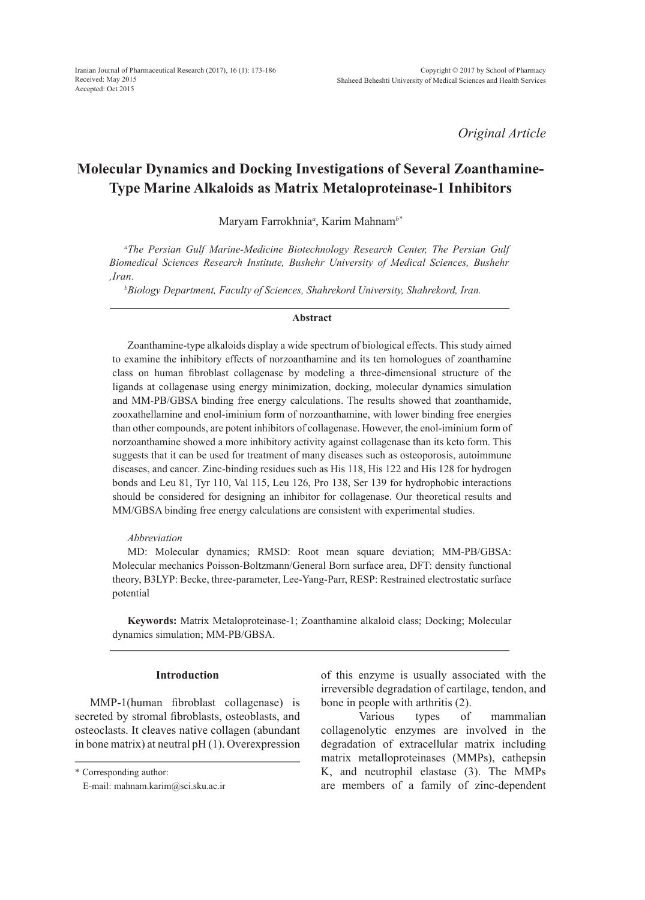*Original Article*

# **Molecular Dynamics and Docking Investigations of Several Zoanthamine-Type Marine Alkaloids as Matrix Metaloproteinase-1 Inhibitors**

Maryam Farrokhnia*<sup>a</sup>* , Karim Mahnam*b\**

*a The Persian Gulf Marine-Medicine Biotechnology Research Center, The Persian Gulf Biomedical Sciences Research Institute, Bushehr University of Medical Sciences, Bushehr ,Iran.*

*b Biology Department, Faculty of Sciences, Shahrekord University, Shahrekord, Iran.*

#### **Abstract**

Zoanthamine-type alkaloids display a wide spectrum of biological effects. This study aimed to examine the inhibitory effects of norzoanthamine and its ten homologues of zoanthamine class on human fibroblast collagenase by modeling a three-dimensional structure of the ligands at collagenase using energy minimization, docking, molecular dynamics simulation and MM-PB/GBSA binding free energy calculations. The results showed that zoanthamide, zooxathellamine and enol-iminium form of norzoanthamine, with lower binding free energies than other compounds, are potent inhibitors of collagenase. However, the enol-iminium form of norzoanthamine showed a more inhibitory activity against collagenase than its keto form. This suggests that it can be used for treatment of many diseases such as osteoporosis, autoimmune diseases, and cancer. Zinc-binding residues such as His 118, His 122 and His 128 for hydrogen bonds and Leu 81, Tyr 110, Val 115, Leu 126, Pro 138, Ser 139 for hydrophobic interactions should be considered for designing an inhibitor for collagenase. Our theoretical results and MM/GBSA binding free energy calculations are consistent with experimental studies.

## *Abbreviation*

MD: Molecular dynamics; RMSD: Root mean square deviation; MM-PB/GBSA: Molecular mechanics Poisson-Boltzmann/General Born surface area, DFT: density functional theory, B3LYP: Becke, three-parameter, Lee-Yang-Parr, RESP: Restrained electrostatic surface potential

**Keywords:** Matrix Metaloproteinase-1; Zoanthamine alkaloid class; Docking; Molecular dynamics simulation; MM-PB/GBSA.

## **Introduction**

MMP-1(human fibroblast collagenase) is secreted by stromal fibroblasts, osteoblasts, and osteoclasts. It cleaves native collagen (abundant in bone matrix) at neutral pH (1). Overexpression of this enzyme is usually associated with the irreversible degradation of cartilage, tendon, and bone in people with arthritis (2).

Various types of mammalian collagenolytic enzymes are involved in the degradation of extracellular matrix including matrix metalloproteinases (MMPs), cathepsin K, and neutrophil elastase (3). The MMPs are members of a family of zinc-dependent

<sup>\*</sup> Corresponding author:

E-mail: mahnam.karim@sci.sku.ac.ir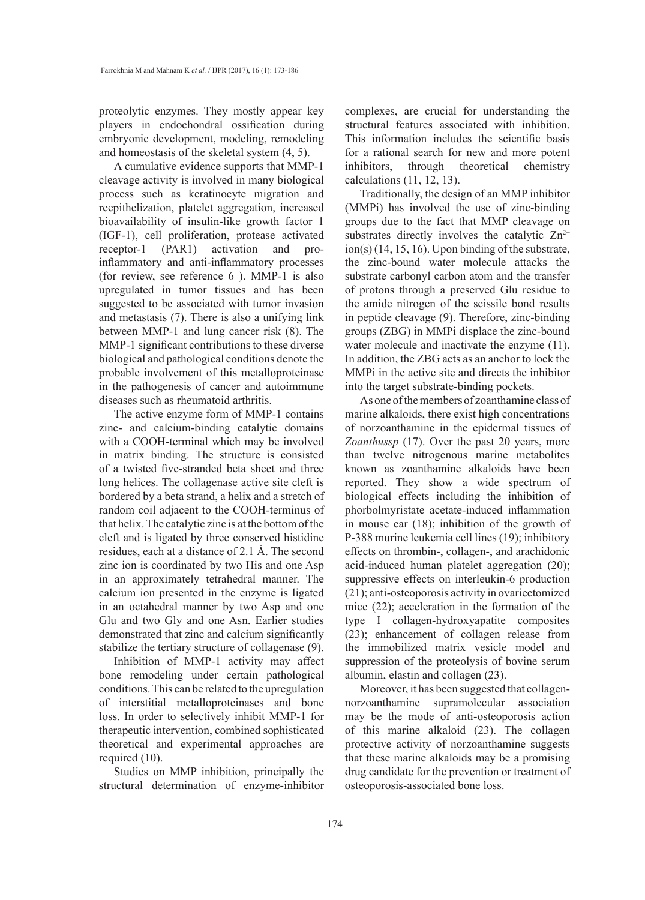proteolytic enzymes. They mostly appear key players in endochondral ossification during embryonic development, modeling, remodeling and homeostasis of the skeletal system (4, 5).

A cumulative evidence supports that MMP-1 cleavage activity is involved in many biological process such as keratinocyte migration and reepithelization, platelet aggregation, increased bioavailability of insulin-like growth factor 1 (IGF-1), cell proliferation, protease activated receptor-1 (PAR1) activation and proinflammatory and anti-inflammatory processes (for review, see reference 6 ). MMP-1 is also upregulated in tumor tissues and has been suggested to be associated with tumor invasion and metastasis (7). There is also a unifying link between MMP-1 and lung cancer risk (8). The MMP-1 significant contributions to these diverse biological and pathological conditions denote the probable involvement of this metalloproteinase in the pathogenesis of cancer and autoimmune diseases such as rheumatoid arthritis.

The active enzyme form of MMP-1 contains zinc- and calcium-binding catalytic domains with a COOH-terminal which may be involved in matrix binding. The structure is consisted of a twisted five-stranded beta sheet and three long helices. The collagenase active site cleft is bordered by a beta strand, a helix and a stretch of random coil adjacent to the COOH-terminus of that helix. The catalytic zinc is at the bottom of the cleft and is ligated by three conserved histidine residues, each at a distance of 2.1 Å. The second zinc ion is coordinated by two His and one Asp in an approximately tetrahedral manner. The calcium ion presented in the enzyme is ligated in an octahedral manner by two Asp and one Glu and two Gly and one Asn. Earlier studies demonstrated that zinc and calcium significantly stabilize the tertiary structure of collagenase (9).

Inhibition of MMP-1 activity may affect bone remodeling under certain pathological conditions. This can be related to the upregulation of interstitial metalloproteinases and bone loss. In order to selectively inhibit MMP-1 for therapeutic intervention, combined sophisticated theoretical and experimental approaches are required (10).

Studies on MMP inhibition, principally the structural determination of enzyme-inhibitor complexes, are crucial for understanding the structural features associated with inhibition. This information includes the scientific basis for a rational search for new and more potent inhibitors, through theoretical chemistry calculations (11, 12, 13).

Traditionally, the design of an MMP inhibitor (MMPi) has involved the use of zinc-binding groups due to the fact that MMP cleavage on substrates directly involves the catalytic  $Zn^{2+}$ ion(s) (14, 15, 16). Upon binding of the substrate, the zinc-bound water molecule attacks the substrate carbonyl carbon atom and the transfer of protons through a preserved Glu residue to the amide nitrogen of the scissile bond results in peptide cleavage (9). Therefore, zinc-binding groups (ZBG) in MMPi displace the zinc-bound water molecule and inactivate the enzyme (11). In addition, the ZBG acts as an anchor to lock the MMPi in the active site and directs the inhibitor into the target substrate-binding pockets.

As one of the members of zoanthamine class of marine alkaloids, there exist high concentrations of norzoanthamine in the epidermal tissues of *Zoanthussp* (17). Over the past 20 years, more than twelve nitrogenous marine metabolites known as zoanthamine alkaloids have been reported. They show a wide spectrum of biological effects including the inhibition of phorbolmyristate acetate-induced inflammation in mouse ear (18); inhibition of the growth of P-388 murine leukemia cell lines (19); inhibitory effects on thrombin-, collagen-, and arachidonic acid-induced human platelet aggregation (20); suppressive effects on interleukin-6 production (21); anti-osteoporosis activity in ovariectomized mice (22); acceleration in the formation of the type I collagen-hydroxyapatite composites (23); enhancement of collagen release from the immobilized matrix vesicle model and suppression of the proteolysis of bovine serum albumin, elastin and collagen (23).

Moreover, it has been suggested that collagennorzoanthamine supramolecular association may be the mode of anti-osteoporosis action of this marine alkaloid (23). The collagen protective activity of norzoanthamine suggests that these marine alkaloids may be a promising drug candidate for the prevention or treatment of osteoporosis-associated bone loss.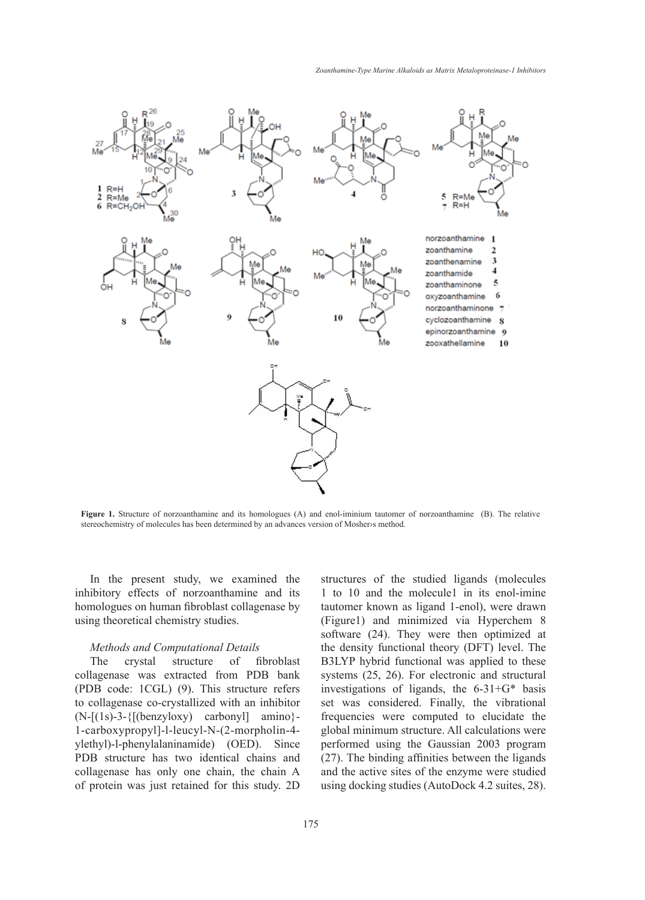

**Figure 1.** Structure of norzoanthamine and its homologues (A) and enol-iminium tautomer of norzoanthamine (B). The relative stereochemistry of molecules has been determined by an advances version of Mosher>s method.

In the present study, we examined the inhibitory effects of norzoanthamine and its homologues on human fibroblast collagenase by using theoretical chemistry studies.

### *Methods and Computational Details*

The crystal structure of fibroblast collagenase was extracted from PDB bank (PDB code: 1CGL) (9). This structure refers to collagenase co-crystallized with an inhibitor  $(N-[1s)-3-{[(benzyboxy) carbony]] amino}$ 1-carboxypropyl]-l-leucyl-N-(2-morpholin-4 ylethyl)-l-phenylalaninamide) (OED). Since PDB structure has two identical chains and collagenase has only one chain, the chain A of protein was just retained for this study. 2D structures of the studied ligands (molecules 1 to 10 and the molecule1 in its enol-imine tautomer known as ligand 1-enol), were drawn (Figure1) and minimized via Hyperchem 8 software (24). They were then optimized at the density functional theory (DFT) level. The B3LYP hybrid functional was applied to these systems (25, 26). For electronic and structural investigations of ligands, the 6-31+G\* basis set was considered. Finally, the vibrational frequencies were computed to elucidate the global minimum structure. All calculations were performed using the Gaussian 2003 program (27). The binding affinities between the ligands and the active sites of the enzyme were studied using docking studies (AutoDock 4.2 suites, 28).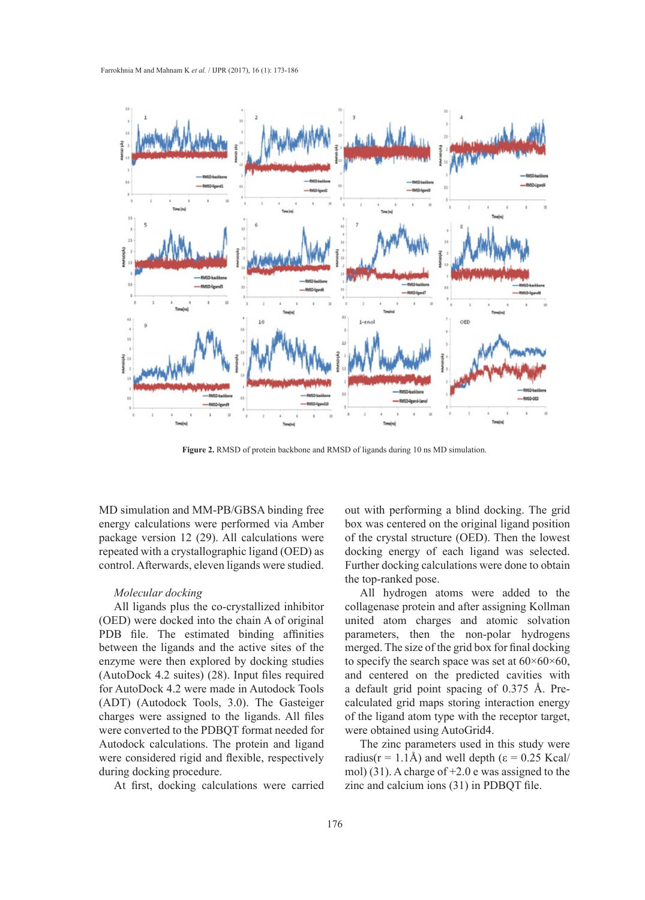

**Figure 2.** RMSD of protein backbone and RMSD of ligands during 10 ns MD simulation.

MD simulation and MM-PB/GBSA binding free energy calculations were performed via Amber package version 12 (29). All calculations were repeated with a crystallographic ligand (OED) as control. Afterwards, eleven ligands were studied.

## *Molecular docking*

All ligands plus the co-crystallized inhibitor (OED) were docked into the chain A of original PDB file. The estimated binding affinities between the ligands and the active sites of the enzyme were then explored by docking studies (AutoDock 4.2 suites) (28). Input files required for AutoDock 4.2 were made in Autodock Tools (ADT) (Autodock Tools, 3.0). The Gasteiger charges were assigned to the ligands. All files were converted to the PDBQT format needed for Autodock calculations. The protein and ligand were considered rigid and flexible, respectively during docking procedure.

At first, docking calculations were carried

out with performing a blind docking. The grid box was centered on the original ligand position of the crystal structure (OED). Then the lowest docking energy of each ligand was selected. Further docking calculations were done to obtain the top-ranked pose.

All hydrogen atoms were added to the collagenase protein and after assigning Kollman united atom charges and atomic solvation parameters, then the non-polar hydrogens merged. The size of the grid box for final docking to specify the search space was set at  $60\times60\times60$ , and centered on the predicted cavities with a default grid point spacing of 0.375 Å. Precalculated grid maps storing interaction energy of the ligand atom type with the receptor target, were obtained using AutoGrid4.

The zinc parameters used in this study were radius( $r = 1.1$ Å) and well depth ( $\varepsilon = 0.25$  Kcal/ mol) (31). A charge of +2.0 e was assigned to the zinc and calcium ions (31) in PDBQT file.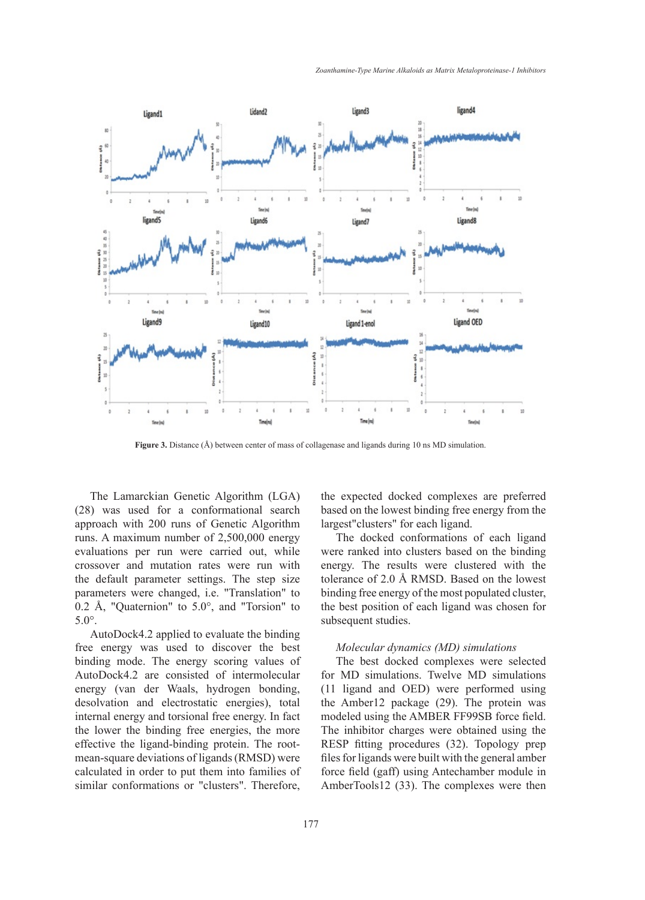

**Figure 3.** Distance (Å) between center of mass of collagenase and ligands during 10 ns MD simulation.

The Lamarckian Genetic Algorithm (LGA) (28) was used for a conformational search approach with 200 runs of Genetic Algorithm runs. A maximum number of 2,500,000 energy evaluations per run were carried out, while crossover and mutation rates were run with the default parameter settings. The step size parameters were changed, i.e. "Translation" to 0.2 Å, "Quaternion" to  $5.0^{\circ}$ , and "Torsion" to 5.0°.

AutoDock4.2 applied to evaluate the binding free energy was used to discover the best binding mode. The energy scoring values of AutoDock4.2 are consisted of intermolecular energy (van der Waals, hydrogen bonding, desolvation and electrostatic energies), total internal energy and torsional free energy. In fact the lower the binding free energies, the more effective the ligand-binding protein. The rootmean-square deviations of ligands (RMSD) were calculated in order to put them into families of similar conformations or "clusters". Therefore, the expected docked complexes are preferred based on the lowest binding free energy from the largest"clusters" for each ligand.

The docked conformations of each ligand were ranked into clusters based on the binding energy. The results were clustered with the tolerance of 2.0 Å RMSD. Based on the lowest binding free energy of the most populated cluster, the best position of each ligand was chosen for subsequent studies.

### *Molecular dynamics (MD) simulations*

The best docked complexes were selected for MD simulations. Twelve MD simulations (11 ligand and OED) were performed using the Amber12 package (29). The protein was modeled using the AMBER FF99SB force field. The inhibitor charges were obtained using the RESP fitting procedures (32). Topology prep files for ligands were built with the general amber force field (gaff) using Antechamber module in AmberTools12 (33). The complexes were then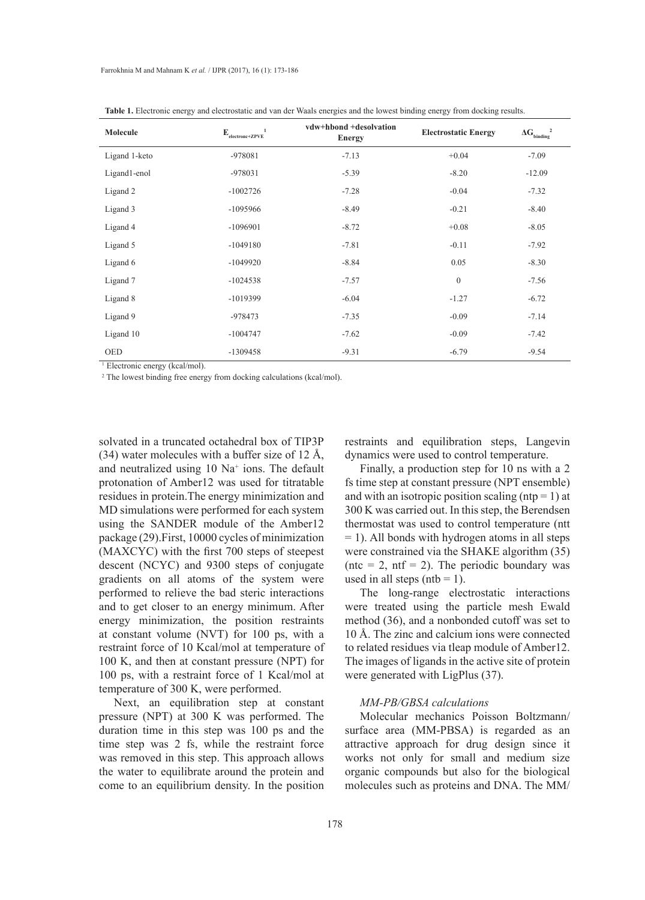| Molecule      | -1<br>$E_{\text{electronc+ZPVE}}$ <sup>1</sup> | vdw+hbond +desolvation<br><b>Energy</b> | <b>Electrostatic Energy</b> | $\Delta G_{\text{binding}}^2$ |
|---------------|------------------------------------------------|-----------------------------------------|-----------------------------|-------------------------------|
| Ligand 1-keto | -978081                                        | $-7.13$                                 | $+0.04$                     | $-7.09$                       |
| Ligand1-enol  | $-978031$                                      | $-5.39$                                 | $-8.20$                     | $-12.09$                      |
| Ligand 2      | $-1002726$                                     | $-7.28$                                 | $-0.04$                     | $-7.32$                       |
| Ligand 3      | $-1095966$                                     | $-8.49$                                 | $-0.21$                     | $-8.40$                       |
| Ligand 4      | $-1096901$                                     | $-8.72$                                 | $+0.08$                     | $-8.05$                       |
| Ligand 5      | $-1049180$                                     | $-7.81$                                 | $-0.11$                     | $-7.92$                       |
| Ligand 6      | $-1049920$                                     | $-8.84$                                 | 0.05                        | $-8.30$                       |
| Ligand 7      | $-1024538$                                     | $-7.57$                                 | $\mathbf{0}$                | $-7.56$                       |
| Ligand 8      | $-1019399$                                     | $-6.04$                                 | $-1.27$                     | $-6.72$                       |
| Ligand 9      | -978473                                        | $-7.35$                                 | $-0.09$                     | $-7.14$                       |
| Ligand 10     | $-1004747$                                     | $-7.62$                                 | $-0.09$                     | $-7.42$                       |
| <b>OED</b>    | $-1309458$                                     | $-9.31$                                 | $-6.79$                     | $-9.54$                       |

**Table 1.** Electronic energy and electrostatic and van der Waals energies and the lowest binding energy from docking results.

1 Electronic energy (kcal/mol).

<sup>2</sup> The lowest binding free energy from docking calculations (kcal/mol).

solvated in a truncated octahedral box of TIP3P  $(34)$  water molecules with a buffer size of 12 Å, and neutralized using 10 Na+ ions. The default protonation of Amber12 was used for titratable residues in protein.The energy minimization and MD simulations were performed for each system using the SANDER module of the Amber12 package (29).First, 10000 cycles of minimization (MAXCYC) with the first 700 steps of steepest descent (NCYC) and 9300 steps of conjugate gradients on all atoms of the system were performed to relieve the bad steric interactions and to get closer to an energy minimum. After energy minimization, the position restraints at constant volume (NVT) for 100 ps, with a restraint force of 10 Kcal/mol at temperature of 100 K, and then at constant pressure (NPT) for 100 ps, with a restraint force of 1 Kcal/mol at temperature of 300 K, were performed.

Next, an equilibration step at constant pressure (NPT) at 300 K was performed. The duration time in this step was 100 ps and the time step was 2 fs, while the restraint force was removed in this step. This approach allows the water to equilibrate around the protein and come to an equilibrium density. In the position

restraints and equilibration steps, Langevin dynamics were used to control temperature.

Finally, a production step for 10 ns with a 2 fs time step at constant pressure (NPT ensemble) and with an isotropic position scaling ( $ntp = 1$ ) at 300 K was carried out. In this step, the Berendsen thermostat was used to control temperature (ntt = 1). All bonds with hydrogen atoms in all steps were constrained via the SHAKE algorithm (35) (ntc = 2, ntf = 2). The periodic boundary was used in all steps (ntb = 1).

The long-range electrostatic interactions were treated using the particle mesh Ewald method (36), and a nonbonded cutoff was set to 10 Å. The zinc and calcium ions were connected to related residues via tleap module of Amber12. The images of ligands in the active site of protein were generated with LigPlus (37).

## *MM-PB/GBSA calculations*

Molecular mechanics Poisson Boltzmann/ surface area (MM-PBSA) is regarded as an attractive approach for drug design since it works not only for small and medium size organic compounds but also for the biological molecules such as proteins and DNA. The MM/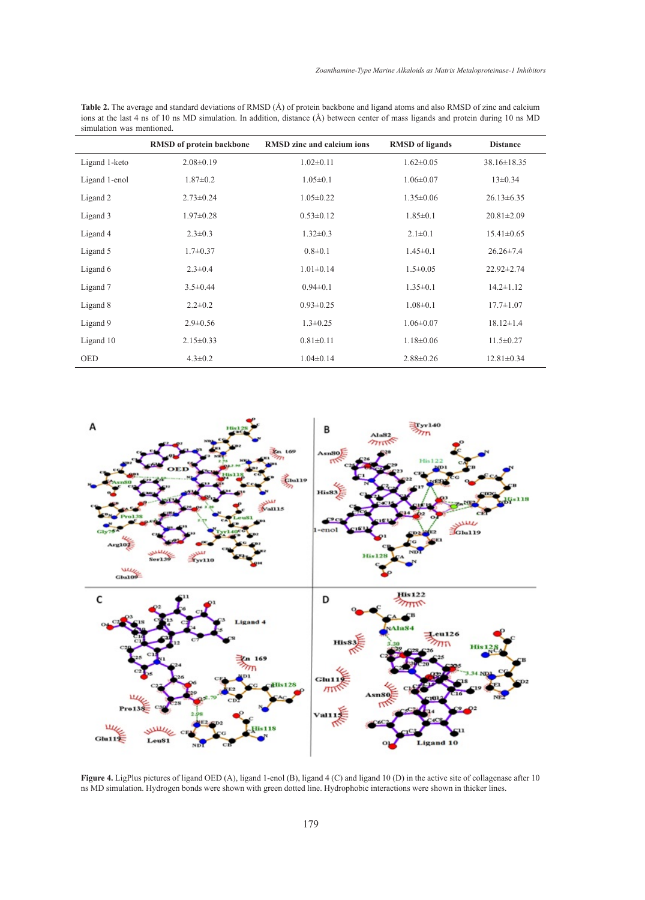**Table 2.** The average and standard deviations of RMSD (Å) of protein backbone and ligand atoms and also RMSD of zinc and calcium ions at the last 4 ns of 10 ns MD simulation. In addition, distance (Å) between center of mass ligands and protein during 10 ns MD simulation was mentioned.

|               | <b>RMSD</b> of protein backbone | <b>RMSD</b> zinc and calcium ions | <b>RMSD</b> of ligands | <b>Distance</b>   |
|---------------|---------------------------------|-----------------------------------|------------------------|-------------------|
| Ligand 1-keto | $2.08\pm0.19$                   | $1.02 \pm 0.11$                   | $1.62 \pm 0.05$        | $38.16 \pm 18.35$ |
| Ligand 1-enol | $1.87 \pm 0.2$                  | $1.05 \pm 0.1$                    | $1.06 \pm 0.07$        | $13\pm0.34$       |
| Ligand 2      | $2.73 \pm 0.24$                 | $1.05 \pm 0.22$                   | $1.35 \pm 0.06$        | $26.13 \pm 6.35$  |
| Ligand 3      | $1.97 \pm 0.28$                 | $0.53 \pm 0.12$                   | $1.85 \pm 0.1$         | $20.81 \pm 2.09$  |
| Ligand 4      | $2.3 \pm 0.3$                   | $1.32 \pm 0.3$                    | $2.1 \pm 0.1$          | $15.41 \pm 0.65$  |
| Ligand 5      | $1.7 \pm 0.37$                  | $0.8 \pm 0.1$                     | $1.45 \pm 0.1$         | $26.26 \pm 7.4$   |
| Ligand 6      | $2.3 \pm 0.4$                   | $1.01 \pm 0.14$                   | $1.5 \pm 0.05$         | $22.92 \pm 2.74$  |
| Ligand 7      | $3.5 \pm 0.44$                  | $0.94 \pm 0.1$                    | $1.35 \pm 0.1$         | $14.2 \pm 1.12$   |
| Ligand 8      | $2.2 \pm 0.2$                   | $0.93 \pm 0.25$                   | $1.08 \pm 0.1$         | $17.7 \pm 1.07$   |
| Ligand 9      | $2.9 \pm 0.56$                  | $1.3 \pm 0.25$                    | $1.06 \pm 0.07$        | $18.12 \pm 1.4$   |
| Ligand 10     | $2.15 \pm 0.33$                 | $0.81 \pm 0.11$                   | $1.18 \pm 0.06$        | $11.5 \pm 0.27$   |
| <b>OED</b>    | $4.3 \pm 0.2$                   | $1.04 \pm 0.14$                   | $2.88 \pm 0.26$        | $12.81 \pm 0.34$  |



**Figure 4.** LigPlus pictures of ligand OED (A), ligand 1-enol (B), ligand 4 (C) and ligand 10 (D) in the active site of collagenase after 10 ns MD simulation. Hydrogen bonds were shown with green dotted line. Hydrophobic interactions were shown in thicker lines.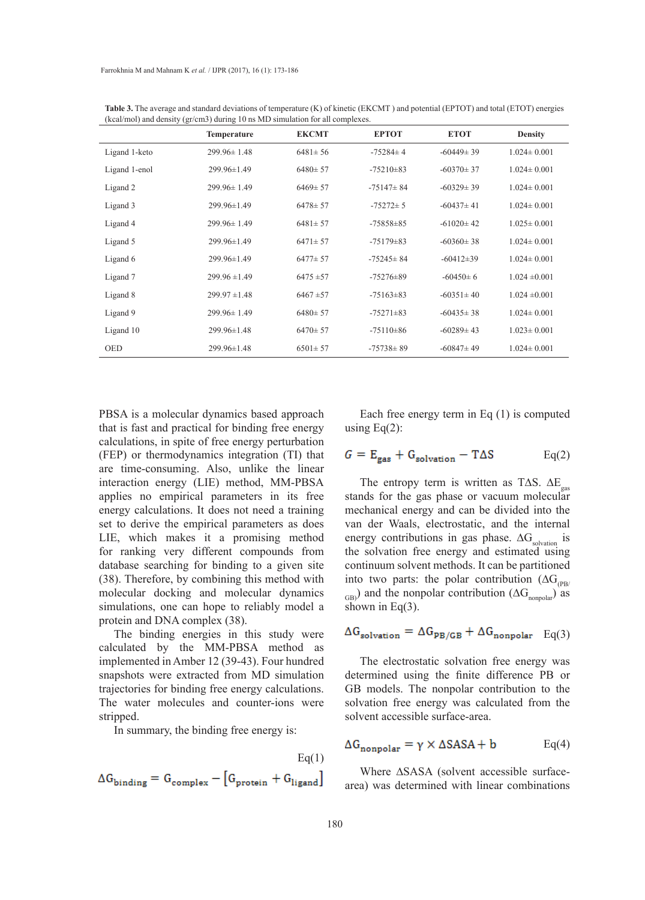|               | Temperature       | <b>EKCMT</b>  | <b>EPTOT</b>    | <b>ETOT</b>     | <b>Density</b>    |
|---------------|-------------------|---------------|-----------------|-----------------|-------------------|
| Ligand 1-keto | $299.96 \pm 1.48$ | $6481 \pm 56$ | $-75284 \pm 4$  | $-60449 \pm 39$ | $1.024 \pm 0.001$ |
| Ligand 1-enol | 299.96±1.49       | $6480 \pm 57$ | $-75210 \pm 83$ | $-60370 \pm 37$ | $1.024 \pm 0.001$ |
| Ligand 2      | $299.96 \pm 1.49$ | $6469 \pm 57$ | $-75147 \pm 84$ | $-60329 \pm 39$ | $1.024 \pm 0.001$ |
| Ligand 3      | 299.96±1.49       | $6478 \pm 57$ | $-75272 \pm 5$  | $-60437 \pm 41$ | $1.024 \pm 0.001$ |
| Ligand 4      | $299.96 \pm 1.49$ | $6481 \pm 57$ | $-75858 \pm 85$ | $-61020 \pm 42$ | $1.025 \pm 0.001$ |
| Ligand 5      | 299.96±1.49       | $6471 \pm 57$ | $-75179 \pm 83$ | $-60360 \pm 38$ | $1.024 \pm 0.001$ |
| Ligand 6      | $299.96 \pm 1.49$ | $6477 \pm 57$ | $-75245 \pm 84$ | $-60412 \pm 39$ | $1.024 \pm 0.001$ |
| Ligand 7      | $299.96 \pm 1.49$ | $6475 \pm 57$ | $-75276 \pm 89$ | $-60450 \pm 6$  | $1.024 \pm 0.001$ |
| Ligand 8      | $299.97 \pm 1.48$ | $6467 \pm 57$ | $-75163\pm83$   | $-60351 \pm 40$ | $1.024 \pm 0.001$ |
| Ligand 9      | $299.96 \pm 1.49$ | $6480 \pm 57$ | $-75271 \pm 83$ | $-60435 \pm 38$ | $1.024 \pm 0.001$ |
| Ligand 10     | $299.96 \pm 1.48$ | $6470 \pm 57$ | $-75110\pm86$   | $-60289 \pm 43$ | $1.023 \pm 0.001$ |
| <b>OED</b>    | 299.96±1.48       | $6501 \pm 57$ | $-75738 \pm 89$ | $-60847 \pm 49$ | $1.024 \pm 0.001$ |

**Table 3.** The average and standard deviations of temperature (K) of kinetic (EKCMT ) and potential (EPTOT) and total (ETOT) energies (kcal/mol) and density (gr/cm3) during 10 ns MD simulation for all complexes.

PBSA is a molecular dynamics based approach that is fast and practical for binding free energy calculations, in spite of free energy perturbation (FEP) or thermodynamics integration (TI) that are time-consuming. Also, unlike the linear interaction energy (LIE) method, MM-PBSA applies no empirical parameters in its free energy calculations. It does not need a training set to derive the empirical parameters as does LIE, which makes it a promising method for ranking very different compounds from database searching for binding to a given site (38). Therefore, by combining this method with molecular docking and molecular dynamics simulations, one can hope to reliably model a protein and DNA complex (38).

The binding energies in this study were calculated by the MM-PBSA method as implemented in Amber 12 (39-43). Four hundred snapshots were extracted from MD simulation trajectories for binding free energy calculations. The water molecules and counter-ions were stripped.

In summary, the binding free energy is:

$$
\label{eq:Gbinding} \begin{aligned} \mathrm{Eq}(1) \\ \Delta G_{\text{binding}} = G_{\text{complex}} - \left[ G_{\text{protein}} + G_{\text{ligand}} \right] \end{aligned}
$$

Each free energy term in Eq (1) is computed using Eq $(2)$ :

$$
G = E_{\text{gas}} + G_{\text{solution}} - T\Delta S
$$
 Eq(2)

The entropy term is written as T∆S.  $\Delta E_{gas}$ stands for the gas phase or vacuum molecular mechanical energy and can be divided into the van der Waals, electrostatic, and the internal energy contributions in gas phase.  $\Delta G_{solvation}$  is the solvation free energy and estimated using continuum solvent methods. It can be partitioned into two parts: the polar contribution ( $\Delta G_{(\text{PR})}$  $_{\text{GB}}$ ) and the nonpolar contribution ( $\Delta G_{\text{nonpolar}}$ ) as shown in Eq(3).

$$
\Delta G_{\text{solution}} = \Delta G_{\text{PB}/\text{GB}} + \Delta G_{\text{nonpolar}} \quad \text{Eq}(3)
$$

The electrostatic solvation free energy was determined using the finite difference PB or GB models. The nonpolar contribution to the solvation free energy was calculated from the solvent accessible surface-area.

$$
\Delta G_{\text{nonpolar}} = \gamma \times \Delta SASA + b \qquad \text{Eq(4)}
$$

Where ∆SASA (solvent accessible surfacearea) was determined with linear combinations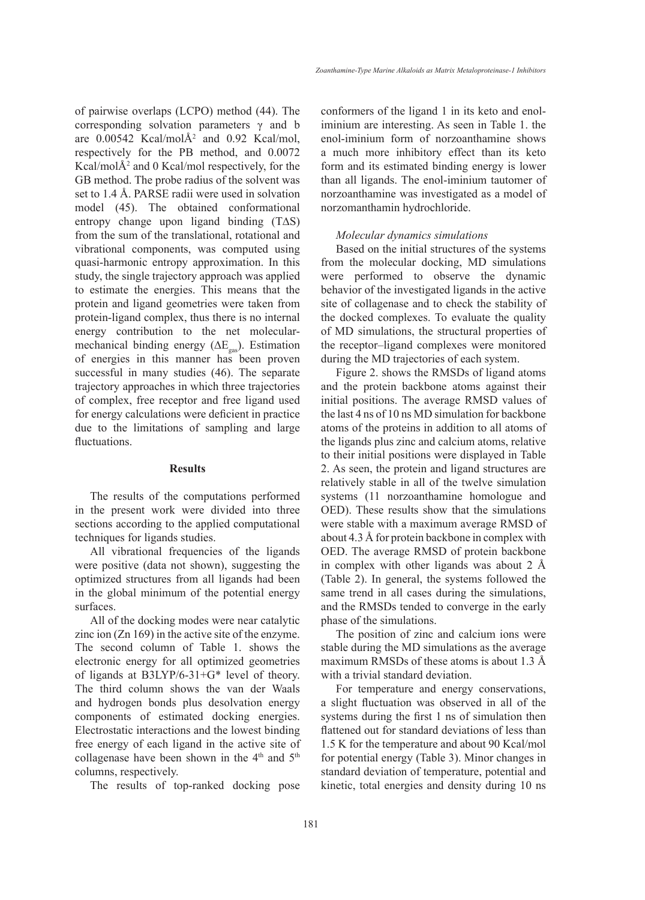*Zoanthamine-Type Marine Alkaloids as Matrix Metaloproteinase-1 Inhibitors*

of pairwise overlaps (LCPO) method (44). The corresponding solvation parameters γ and b are  $0.00542$  Kcal/mol $A<sup>2</sup>$  and  $0.92$  Kcal/mol, respectively for the PB method, and 0.0072 Kcal/molÅ2 and 0 Kcal/mol respectively, for the GB method. The probe radius of the solvent was set to 1.4 Å. PARSE radii were used in solvation model (45). The obtained conformational entropy change upon ligand binding (T∆S) from the sum of the translational, rotational and vibrational components, was computed using quasi-harmonic entropy approximation. In this study, the single trajectory approach was applied to estimate the energies. This means that the protein and ligand geometries were taken from protein-ligand complex, thus there is no internal energy contribution to the net molecularmechanical binding energy ( $\Delta E_{\text{res}}$ ). Estimation of energies in this manner has been proven successful in many studies (46). The separate trajectory approaches in which three trajectories of complex, free receptor and free ligand used for energy calculations were deficient in practice due to the limitations of sampling and large fluctuations.

## **Results**

The results of the computations performed in the present work were divided into three sections according to the applied computational techniques for ligands studies.

All vibrational frequencies of the ligands were positive (data not shown), suggesting the optimized structures from all ligands had been in the global minimum of the potential energy surfaces.

All of the docking modes were near catalytic zinc ion (Zn 169) in the active site of the enzyme. The second column of Table 1. shows the electronic energy for all optimized geometries of ligands at B3LYP/6-31+G\* level of theory. The third column shows the van der Waals and hydrogen bonds plus desolvation energy components of estimated docking energies. Electrostatic interactions and the lowest binding free energy of each ligand in the active site of collagenase have been shown in the 4<sup>th</sup> and 5<sup>th</sup> columns, respectively.

The results of top-ranked docking pose

conformers of the ligand 1 in its keto and enoliminium are interesting. As seen in Table 1. the enol-iminium form of norzoanthamine shows a much more inhibitory effect than its keto form and its estimated binding energy is lower than all ligands. The enol-iminium tautomer of norzoanthamine was investigated as a model of norzomanthamin hydrochloride.

### *Molecular dynamics simulations*

Based on the initial structures of the systems from the molecular docking, MD simulations were performed to observe the dynamic behavior of the investigated ligands in the active site of collagenase and to check the stability of the docked complexes. To evaluate the quality of MD simulations, the structural properties of the receptor–ligand complexes were monitored during the MD trajectories of each system.

Figure 2. shows the RMSDs of ligand atoms and the protein backbone atoms against their initial positions. The average RMSD values of the last 4 ns of 10 ns MD simulation for backbone atoms of the proteins in addition to all atoms of the ligands plus zinc and calcium atoms, relative to their initial positions were displayed in Table 2. As seen, the protein and ligand structures are relatively stable in all of the twelve simulation systems (11 norzoanthamine homologue and OED). These results show that the simulations were stable with a maximum average RMSD of about 4.3 Å for protein backbone in complex with OED. The average RMSD of protein backbone in complex with other ligands was about 2 Å (Table 2). In general, the systems followed the same trend in all cases during the simulations, and the RMSDs tended to converge in the early phase of the simulations.

The position of zinc and calcium ions were stable during the MD simulations as the average maximum RMSDs of these atoms is about 1.3 Å with a trivial standard deviation.

For temperature and energy conservations, a slight fluctuation was observed in all of the systems during the first 1 ns of simulation then flattened out for standard deviations of less than 1.5 K for the temperature and about 90 Kcal/mol for potential energy (Table 3). Minor changes in standard deviation of temperature, potential and kinetic, total energies and density during 10 ns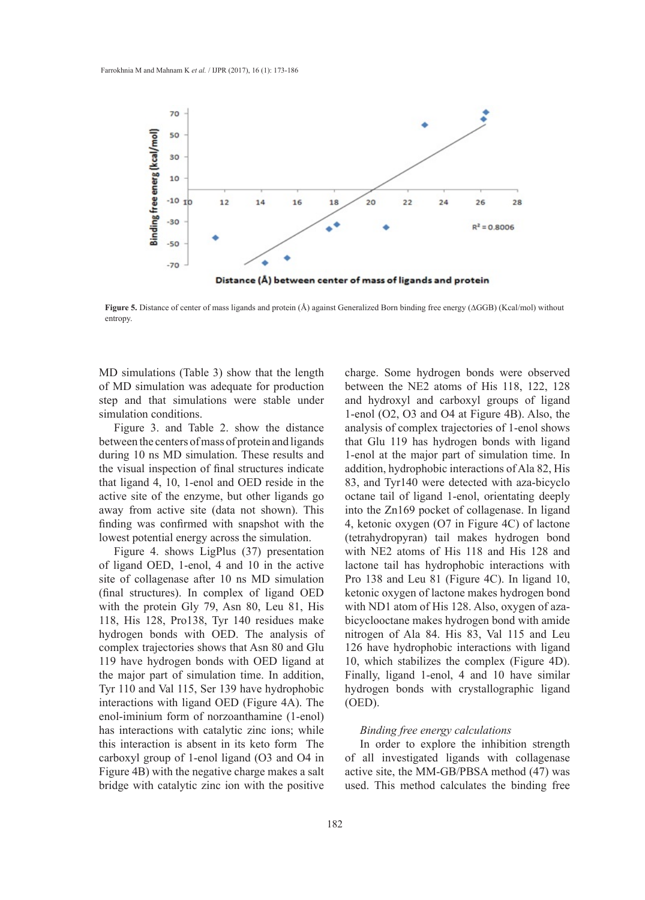

**Figure 5.** Distance of center of mass ligands and protein (Å) against Generalized Born binding free energy (∆GGB) (Kcal/mol) without entropy.

MD simulations (Table 3) show that the length of MD simulation was adequate for production step and that simulations were stable under simulation conditions.

Figure 3. and Table 2. show the distance between the centers of mass of protein and ligands during 10 ns MD simulation. These results and the visual inspection of final structures indicate that ligand 4, 10, 1-enol and OED reside in the active site of the enzyme, but other ligands go away from active site (data not shown). This finding was confirmed with snapshot with the lowest potential energy across the simulation.

Figure 4. shows LigPlus (37) presentation of ligand OED, 1-enol, 4 and 10 in the active site of collagenase after 10 ns MD simulation (final structures). In complex of ligand OED with the protein Gly 79, Asn 80, Leu 81, His 118, His 128, Pro138, Tyr 140 residues make hydrogen bonds with OED. The analysis of complex trajectories shows that Asn 80 and Glu 119 have hydrogen bonds with OED ligand at the major part of simulation time. In addition, Tyr 110 and Val 115, Ser 139 have hydrophobic interactions with ligand OED (Figure 4A). The enol-iminium form of norzoanthamine (1-enol) has interactions with catalytic zinc ions; while this interaction is absent in its keto form The carboxyl group of 1-enol ligand (O3 and O4 in Figure 4B) with the negative charge makes a salt bridge with catalytic zinc ion with the positive

charge. Some hydrogen bonds were observed between the NE2 atoms of His 118, 122, 128 and hydroxyl and carboxyl groups of ligand 1-enol (O2, O3 and O4 at Figure 4B). Also, the analysis of complex trajectories of 1-enol shows that Glu 119 has hydrogen bonds with ligand 1-enol at the major part of simulation time. In addition, hydrophobic interactions of Ala 82, His 83, and Tyr140 were detected with aza-bicyclo octane tail of ligand 1-enol, orientating deeply into the Zn169 pocket of collagenase. In ligand 4, ketonic oxygen (O7 in Figure 4C) of lactone (tetrahydropyran) tail makes hydrogen bond with NE2 atoms of His 118 and His 128 and lactone tail has hydrophobic interactions with Pro 138 and Leu 81 (Figure 4C). In ligand 10, ketonic oxygen of lactone makes hydrogen bond with ND1 atom of His 128. Also, oxygen of azabicyclooctane makes hydrogen bond with amide nitrogen of Ala 84. His 83, Val 115 and Leu 126 have hydrophobic interactions with ligand 10, which stabilizes the complex (Figure 4D). Finally, ligand 1-enol, 4 and 10 have similar hydrogen bonds with crystallographic ligand (OED).

## *Binding free energy calculations*

In order to explore the inhibition strength of all investigated ligands with collagenase active site, the MM-GB/PBSA method (47) was used. This method calculates the binding free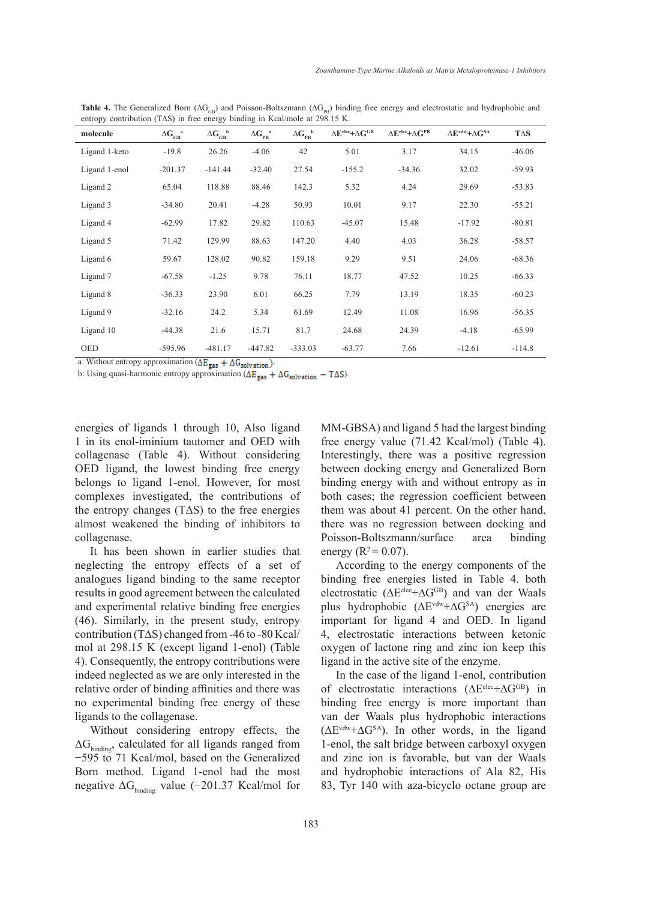| molecule      | $\Delta G_{GB}^{\quad a}$ | $\Delta G_{GB}^{\phantom{GB}b}$ | $\Delta G_{PB}^{\quad a}$ | $\Delta G_{PB}^{\phantom{PB}b}$ | $\Delta E^{\text{elec}} + \Delta G^{\text{GB}}$ | $\Delta E^{\text{elec}} + \Delta G^{\text{PB}}$ | $\Delta E^{\text{vdw}} + \Delta G^{\text{SA}}$ | $T\Delta S$ |
|---------------|---------------------------|---------------------------------|---------------------------|---------------------------------|-------------------------------------------------|-------------------------------------------------|------------------------------------------------|-------------|
| Ligand 1-keto | $-19.8$                   | 26.26                           | $-4.06$                   | 42                              | 5.01                                            | 3.17                                            | 34.15                                          | $-46.06$    |
| Ligand 1-enol | $-201.37$                 | $-141.44$                       | $-32.40$                  | 27.54                           | $-155.2$                                        | $-34.36$                                        | 32.02                                          | $-59.93$    |
| Ligand 2      | 65.04                     | 118.88                          | 88.46                     | 142.3                           | 5.32                                            | 4.24                                            | 29.69                                          | $-53.83$    |
| Ligand 3      | $-34.80$                  | 20.41                           | $-4.28$                   | 50.93                           | 10.01                                           | 9.17                                            | 22.30                                          | $-55.21$    |
| Ligand 4      | $-62.99$                  | 17.82                           | 29.82                     | 110.63                          | $-45.07$                                        | 15.48                                           | $-17.92$                                       | $-80.81$    |
| Ligand 5      | 71.42                     | 129.99                          | 88.63                     | 147.20                          | 4.40                                            | 4.03                                            | 36.28                                          | $-58.57$    |
| Ligand 6      | 59.67                     | 128.02                          | 90.82                     | 159.18                          | 9.29                                            | 9.51                                            | 24.06                                          | $-68.36$    |
| Ligand 7      | $-67.58$                  | $-1.25$                         | 9.78                      | 76.11                           | 18.77                                           | 47.52                                           | 10.25                                          | $-66.33$    |
| Ligand 8      | $-36.33$                  | 23.90                           | 6.01                      | 66.25                           | 7.79                                            | 13.19                                           | 18.35                                          | $-60.23$    |
| Ligand 9      | $-32.16$                  | 24.2                            | 5.34                      | 61.69                           | 12.49                                           | 11.08                                           | 16.96                                          | $-56.35$    |
| Ligand 10     | $-44.38$                  | 21.6                            | 15.71                     | 81.7                            | 24.68                                           | 24.39                                           | $-4.18$                                        | $-65.99$    |
| <b>OED</b>    | $-595.96$                 | $-481.17$                       | $-447.82$                 | $-333.03$                       | $-63.77$                                        | 7.66                                            | $-12.61$                                       | $-114.8$    |

**Table 4.** The Generalized Born ( $\Delta G_{GB}$ ) and Poisson-Boltszmann ( $\Delta G_{PB}$ ) binding free energy and electrostatic and hydrophobic and entropy contribution (T∆S) in free energy binding in Kcal/mole at 298.15 K.

a: Without entropy approximation  $(\Delta E_{gas} + \Delta G_{solvation})$ .

b: Using quasi-harmonic entropy approximation ( $\Delta E_{gas} + \Delta G_{solvation} - T\Delta S$ ).

energies of ligands 1 through 10, Also ligand 1 in its enol-iminium tautomer and OED with collagenase (Table 4). Without considering OED ligand, the lowest binding free energy belongs to ligand 1-enol. However, for most complexes investigated, the contributions of the entropy changes (TΔS) to the free energies almost weakened the binding of inhibitors to collagenase.

It has been shown in earlier studies that neglecting the entropy effects of a set of analogues ligand binding to the same receptor results in good agreement between the calculated and experimental relative binding free energies (46). Similarly, in the present study, entropy contribution (T∆S) changed from -46 to -80 Kcal/ mol at 298.15 K (except ligand 1-enol) (Table 4). Consequently, the entropy contributions were indeed neglected as we are only interested in the relative order of binding affinities and there was no experimental binding free energy of these ligands to the collagenase.

Without considering entropy effects, the  $\Delta G_{\text{binding}}$ , calculated for all ligands ranged from −595 to 71 Kcal/mol, based on the Generalized Born method. Ligand 1-enol had the most negative  $\Delta G_{\text{binding}}$  value (−201.37 Kcal/mol for

MM-GBSA) and ligand 5 had the largest binding free energy value (71.42 Kcal/mol) (Table 4). Interestingly, there was a positive regression between docking energy and Generalized Born binding energy with and without entropy as in both cases; the regression coefficient between them was about 41 percent. On the other hand, there was no regression between docking and Poisson-Boltszmann/surface area binding energy ( $R^2 = 0.07$ ).

According to the energy components of the binding free energies listed in Table 4. both electrostatic ( $\Delta E^{elec} + \Delta G^{GB}$ ) and van der Waals plus hydrophobic (∆Evdw+∆GSA) energies are important for ligand 4 and OED. In ligand 4, electrostatic interactions between ketonic oxygen of lactone ring and zinc ion keep this ligand in the active site of the enzyme.

In the case of the ligand 1-enol, contribution of electrostatic interactions (∆Eelec+∆GGB) in binding free energy is more important than van der Waals plus hydrophobic interactions (∆Evdw+∆GSA). In other words, in the ligand 1-enol, the salt bridge between carboxyl oxygen and zinc ion is favorable, but van der Waals and hydrophobic interactions of Ala 82, His 83, Tyr 140 with aza-bicyclo octane group are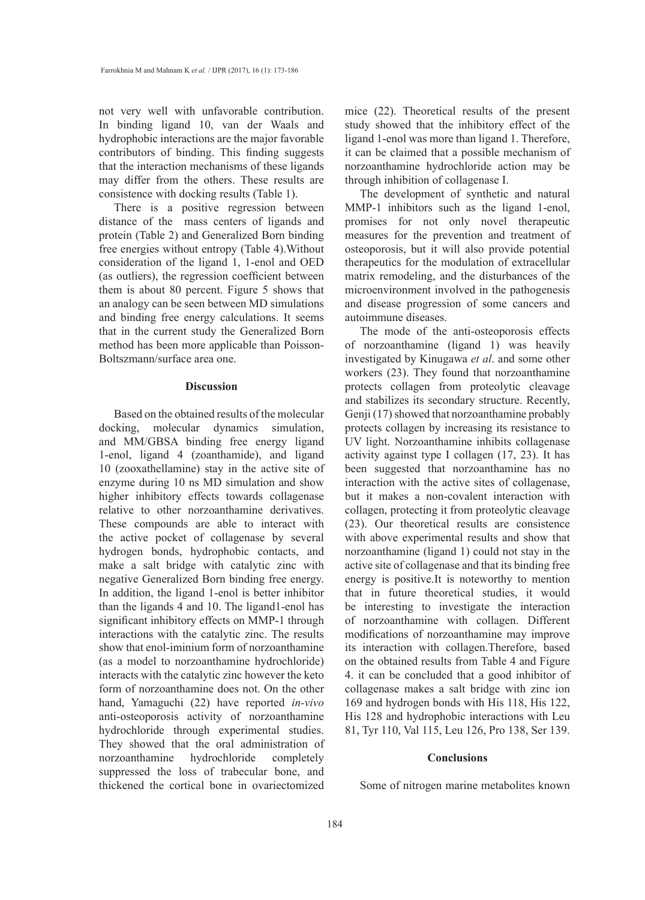not very well with unfavorable contribution. In binding ligand 10, van der Waals and hydrophobic interactions are the major favorable contributors of binding. This finding suggests that the interaction mechanisms of these ligands may differ from the others. These results are consistence with docking results (Table 1).

There is a positive regression between distance of the mass centers of ligands and protein (Table 2) and Generalized Born binding free energies without entropy (Table 4).Without consideration of the ligand 1, 1-enol and OED (as outliers), the regression coefficient between them is about 80 percent. Figure 5 shows that an analogy can be seen between MD simulations and binding free energy calculations. It seems that in the current study the Generalized Born method has been more applicable than Poisson-Boltszmann/surface area one.

#### **Discussion**

Based on the obtained results of the molecular docking, molecular dynamics simulation, and MM/GBSA binding free energy ligand 1-enol, ligand 4 (zoanthamide), and ligand 10 (zooxathellamine) stay in the active site of enzyme during 10 ns MD simulation and show higher inhibitory effects towards collagenase relative to other norzoanthamine derivatives. These compounds are able to interact with the active pocket of collagenase by several hydrogen bonds, hydrophobic contacts, and make a salt bridge with catalytic zinc with negative Generalized Born binding free energy. In addition, the ligand 1-enol is better inhibitor than the ligands 4 and 10. The ligand1-enol has significant inhibitory effects on MMP-1 through interactions with the catalytic zinc. The results show that enol-iminium form of norzoanthamine (as a model to norzoanthamine hydrochloride) interacts with the catalytic zinc however the keto form of norzoanthamine does not. On the other hand, Yamaguchi (22) have reported *in-vivo* anti-osteoporosis activity of norzoanthamine hydrochloride through experimental studies. They showed that the oral administration of norzoanthamine hydrochloride completely suppressed the loss of trabecular bone, and thickened the cortical bone in ovariectomized mice (22). Theoretical results of the present study showed that the inhibitory effect of the ligand 1-enol was more than ligand 1. Therefore, it can be claimed that a possible mechanism of norzoanthamine hydrochloride action may be through inhibition of collagenase I.

The development of synthetic and natural MMP-1 inhibitors such as the ligand 1-enol, promises for not only novel therapeutic measures for the prevention and treatment of osteoporosis, but it will also provide potential therapeutics for the modulation of extracellular matrix remodeling, and the disturbances of the microenvironment involved in the pathogenesis and disease progression of some cancers and autoimmune diseases.

The mode of the anti-osteoporosis effects of norzoanthamine (ligand 1) was heavily investigated by Kinugawa *et al*. and some other workers (23). They found that norzoanthamine protects collagen from proteolytic cleavage and stabilizes its secondary structure. Recently, Genji (17) showed that norzoanthamine probably protects collagen by increasing its resistance to UV light. Norzoanthamine inhibits collagenase activity against type I collagen (17, 23). It has been suggested that norzoanthamine has no interaction with the active sites of collagenase, but it makes a non-covalent interaction with collagen, protecting it from proteolytic cleavage (23). Our theoretical results are consistence with above experimental results and show that norzoanthamine (ligand 1) could not stay in the active site of collagenase and that its binding free energy is positive.It is noteworthy to mention that in future theoretical studies, it would be interesting to investigate the interaction of norzoanthamine with collagen. Different modifications of norzoanthamine may improve its interaction with collagen.Therefore, based on the obtained results from Table 4 and Figure 4. it can be concluded that a good inhibitor of collagenase makes a salt bridge with zinc ion 169 and hydrogen bonds with His 118, His 122, His 128 and hydrophobic interactions with Leu 81, Tyr 110, Val 115, Leu 126, Pro 138, Ser 139.

### **Conclusions**

Some of nitrogen marine metabolites known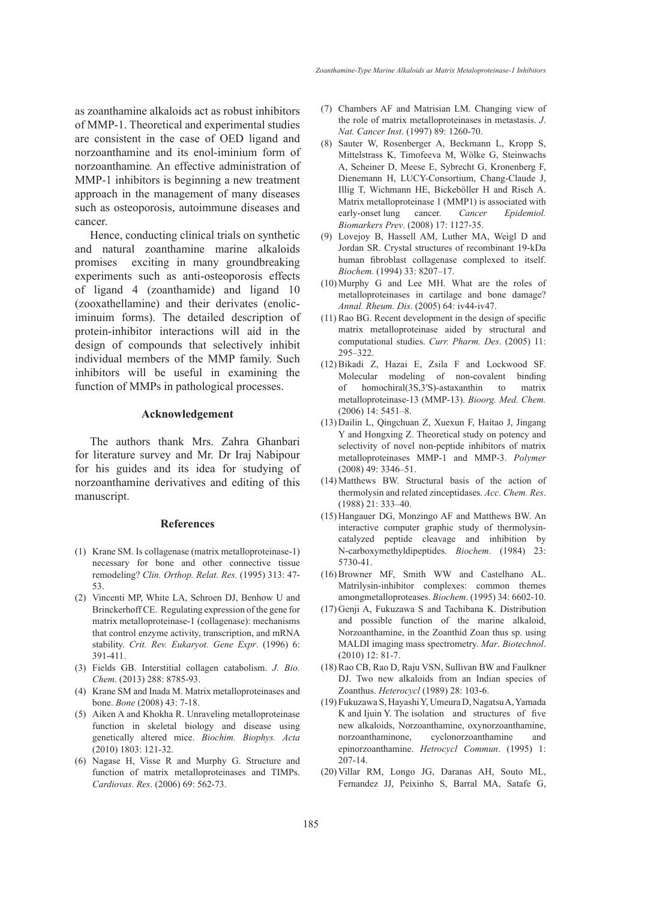as zoanthamine alkaloids act as robust inhibitors of MMP-1. Theoretical and experimental studies are consistent in the case of OED ligand and norzoanthamine and its enol-iminium form of norzoanthamine*.* An effective administration of MMP-1 inhibitors is beginning a new treatment approach in the management of many diseases such as osteoporosis, autoimmune diseases and cancer.

Hence, conducting clinical trials on synthetic and natural zoanthamine marine alkaloids promises exciting in many groundbreaking experiments such as anti-osteoporosis effects of ligand 4 (zoanthamide) and ligand 10 (zooxathellamine) and their derivates (enoliciminuim forms). The detailed description of protein-inhibitor interactions will aid in the design of compounds that selectively inhibit individual members of the MMP family. Such inhibitors will be useful in examining the function of MMPs in pathological processes.

## **Acknowledgement**

The authors thank Mrs. Zahra Ghanbari for literature survey and Mr. Dr Iraj Nabipour for his guides and its idea for studying of norzoanthamine derivatives and editing of this manuscript.

#### **References**

- (1) Krane SM. Is collagenase (matrix metalloproteinase-1) necessary for bone and other connective tissue remodeling? *Clin. Orthop. Relat. Res.* (1995) 313: 47- 53.
- (2) Vincenti MP, White LA, Schroen DJ, Benhow U and Brinckerhoff CE. Regulating expression of the gene for matrix metalloproteinase-1 (collagenase): mechanisms that control enzyme activity, transcription, and mRNA stability. *Crit. Rev. Eukaryot. Gene Expr*. (1996) 6: 391-411.
- Fields GB. Interstitial collagen catabolism. *J. Bio.*  (3) *Chem*. (2013) 288: 8785-93.
- (4) Krane SM and Inada M. Matrix metalloproteinases and bone. *Bone* (2008) 43: 7-18.
- (5) Aiken A and Khokha R. Unraveling metalloproteinase function in skeletal biology and disease using genetically altered mice. *Biochim. Biophys. Acta* (2010) 1803: 121-32.
- (6) Nagase H, Visse R and Murphy G. Structure and function of matrix metalloproteinases and TIMPs. *Cardiovas. Res*. (2006) 69: 562-73.
- Chambers AF and Matrisian LM. Changing view of (7) the role of matrix metalloproteinases in metastasis. *J*. *Nat. Cancer Inst*. (1997) 89: 1260-70.
- (8) Sauter W, Rosenberger A, Beckmann L, Kropp S, Mittelstrass K, Timofeeva M, Wölke G, Steinwachs A, Scheiner D, Meese E, Sybrecht G, Kronenberg F, Dienemann H, LUCY-Consortium, Chang-Claude J, Illig T, Wichmann HE, Bickeböller H and Risch A. Matrix metalloproteinase 1 (MMP1) is associated with early-onset lung cancer. *Cancer Epidemiol. Biomarkers Prev*. (2008) 17: 1127-35.
- Lovejoy B, Hassell AM, Luther MA, Weigl D and (9) Jordan SR. Crystal structures of recombinant 19-kDa human fibroblast collagenase complexed to itself. *Biochem.* (1994) 33: 8207–17.
- $(10)$  Murphy G and Lee MH. What are the roles of metalloproteinases in cartilage and bone damage? *Annal. Rheum. Dis*. (2005) 64: iv44-iv47.
- $(11)$  Rao BG. Recent development in the design of specific matrix metalloproteinase aided by structural and computational studies. *Curr. Pharm. Des*. (2005) 11: 295–322.
- $(12)$  Bikadi Z, Hazai E, Zsila F and Lockwood SF. Molecular modeling of non-covalent binding of homochiral(3S,3′S)-astaxanthin to matrix metalloproteinase-13 (MMP-13). *Bioorg. Med. Chem.* (2006) 14: 5451–8.
- (13) Dailin L, Qingchuan Z, Xuexun F, Haitao J, Jingang Y and Hongxing Z. Theoretical study on potency and selectivity of novel non-peptide inhibitors of matrix metalloproteinases MMP-1 and MMP-3. *Polymer* (2008) 49: 3346–51.
- $(14)$  Matthews BW. Structural basis of the action of thermolysin and related zinceptidases. *Acc. Chem. Res*. (1988) 21: 333–40.
- (15) Hangauer DG, Monzingo AF and Matthews BW. An interactive computer graphic study of thermolysincatalyzed peptide cleavage and inhibition by N-carboxymethyldipeptides. *Biochem*. (1984) 23: 5730-41.
- (16) Browner MF, Smith WW and Castelhano AL. Matrilysin-inhibitor complexes: common themes amongmetalloproteases. *Biochem*. (1995) 34: 6602-10.
- (17) Genji A, Fukuzawa S and Tachibana K. Distribution and possible function of the marine alkaloid, Norzoanthamine, in the Zoanthid Zoan thus sp. using MALDI imaging mass spectrometry. *Mar*. *Biotechnol*. (2010) 12: 81-7.
- (18) Rao CB, Rao D, Raju VSN, Sullivan BW and Faulkner DJ. Two new alkaloids from an Indian species of Zoanthus. *Heterocycl* (1989) 28: 103-6.
- Fukuzawa S, Hayashi Y, Umeura D, Nagatsu A, Yamada (19) K and Ijuin Y. The isolation and structures of five new alkaloids, Norzoanthamine, oxynorzoanthamine, norzoanthaminone, cyclonorzoanthamine and epinorzoanthamine. *Hetrocycl Commun*. (1995) 1: 207-14.
- (20) Villar RM, Longo JG, Daranas AH, Souto ML, Fernandez JJ, Peixinho S, Barral MA, Satafe G,